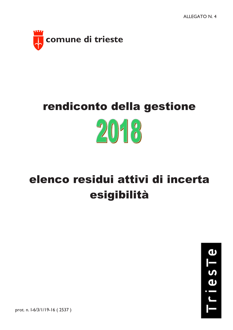

## rendiconto della gestione  $20 - 8$

## elenco residui attivi di incerta esigibilità



prot. n. l-6/3/1/19-16 (2537)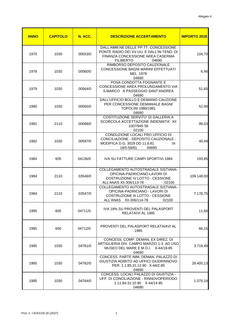| <b>ANNO</b> | <b>CAPITOLO</b> | N. ACC. | <b>DESCRIZIONE ACCERTAMENTO</b>                                                                                                                           | <b>IMPORTO 2018</b> |
|-------------|-----------------|---------|-----------------------------------------------------------------------------------------------------------------------------------------------------------|---------------------|
| 1970        | 1030            | 00553/0 | DALL'AMM.NE DELLE PP.TT. CONCESSIONE<br>PONTE RADIO DEI VV.UU. E DALL'IN-TEND. DI<br><b>FINANZA CONCESSIONE AREA CASERMA</b><br><b>FILIBERTO</b><br>04690 | 104,70              |
| 1978        | 1030            | 00560/0 | RIMBORSO DEPOSITO CAUZIONALE<br>CONCESSIONE BAGNI MARINI EFFETTUATI<br><b>NEL 1978</b><br>04690                                                           | 6,46                |
| 1979        | 1030            | 00564/0 | POSA CONDOTTA FOGNANTE E<br>CONCESSIONE AREA PROLUNGAMENTO VIA<br>S.MARCO A PASSEGGIO SANT'ANDREA<br>04690                                                | 51,65               |
| 1980        | 1030            | 00565/0 | DALL'UFFICIO BOLLO E DEMANIO CAUZIONE<br>PER CONCESSIONE DEMANIALE BAGNI<br>TOPOLINI 1980/1981<br>04690                                                   | 52,99               |
| 1981        | 2110            | 00088/0 | COSTITUZIONE SERVITU' DI GALLERIA A<br>SCORCOLA ACCETTAZIONE INDENNITA' XII<br>1007/945 58<br>02100                                                       | 99,03               |
| 1982        | 1030            | 00597/0 | CONDUZIONE LOCALI PRO UFFICIO DI<br>CONCILIAZIONE - DEPOSITO CAUZIONALE -<br>MODIFICA D.G. 3029 DD 11.8.81<br>IX-<br>18/5-58/81<br>04690                  | 40,49               |
| 1984        | 605             | 04136/0 | IVA SU FATTURE CAMPI SPORTIVI 1984                                                                                                                        | 193,85              |
| 1984        | 2110            | 03546/0 | COLLEGAMENTO AUTOSTRADALE SISTIANA-<br>OPICINA-PADRICIANO-LAVORI DI<br>COSTRUZIONE IV LOTTO - CESSIONE<br>ALL'ANAS XII-306/113-78<br>02100                | 109.148,00          |
| 1984        | 2110            | 03547/0 | COLLEGAMENTO AUTOSTRADALE SISTIANA-<br>OPICINA-PADRICIANO - LAVORI DI<br>COSTRUZIONE III LOTTO - CESSIONE<br>ALL'ANAS XII-306/114-78<br>02100             | 7.178,75            |
| 1985        | 605             | 04711/0 | IVA 18% SU PROVENTI DEL PALASPORT<br>RELATAIVI AL 1985                                                                                                    | 11,66               |
| 1985        | 650             | 04712/0 | PROVENTI DEL PALASPORT RELATAIAVI AL<br>1985                                                                                                              | 66,15               |
| 1985        | 1030            | 04761/0 | CONCESS, COMP. DEMAN, EX DIREZ, DI<br>ARTIGLIERIA DIV. CAMPO MARZIO 1-3 AD USO<br>MUSEO DEL MARE E M.O.I. X-44/18-85<br>04690                             | 3.718,49            |
| 1985        | 1030            | 04762/0 | CONCESS. PARTE IMM. DEMAN. PALAZZO DI<br>GIUSTIZIA ADIBITO AD UFFICI GIUDRINNOVO<br>PER. 1.1.85-31.12.90 X-44/2-85<br>04690                               | 28.405,13           |
| 1985        | 1030            | 04764/0 | CONCESS. LOCALI PALAZZO DI GIUSTIZIA -<br>UFF. DI CONCILIAZIONE - RINNOVOPERIODO<br>1.11.84-31.10.90 X-44/14-85<br>04690                                  | 1.075,19            |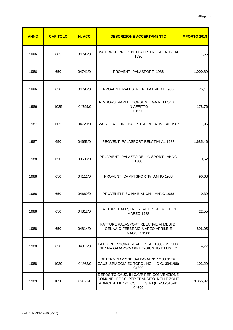| <b>ANNO</b> | <b>CAPITOLO</b> | N. ACC. | <b>DESCRIZIONE ACCERTAMENTO</b>                                                                                                             | <b>IMPORTO 2018</b> |
|-------------|-----------------|---------|---------------------------------------------------------------------------------------------------------------------------------------------|---------------------|
| 1986        | 605             | 04796/0 | IVA 18% SU PROVENTI PALESTRE RELATIVI AL<br>1986                                                                                            | 4,55                |
| 1986        | 650             | 04741/0 | <b>PROVENTI PALASPORT 1986</b>                                                                                                              | 1.000,89            |
| 1986        | 650             | 04795/0 | <b>PROVENTI PALESTRE RELATIVE AL 1986</b>                                                                                                   | 25,41               |
| 1986        | 1035            | 04799/0 | RIMBORSI VARI DI CONSUMI EGA NEI LOCALI<br><b>IN AFFITTO</b><br>01990                                                                       | 178,76              |
| 1987        | 605             | 04720/0 | IVA SU FATTURE PALESTRE RELATIVE AL 1987                                                                                                    | 1,95                |
| 1987        | 650             | 04653/0 | <b>PROVENTI PALASPORT RELATIVI AL 1987</b>                                                                                                  | 1.685,46            |
| 1988        | 650             | 03638/0 | PROVAENTI PALAZZO DELLO SPORT - ANNO<br>1988                                                                                                | 0,52                |
| 1988        | 650             | 04111/0 | <b>PROVENTI CAMPI SPORTIVI ANNO 1988</b>                                                                                                    | 490,63              |
| 1988        | 650             | 04669/0 | <b>PROVENTI PISCINA BIANCHI - ANNO 1988</b>                                                                                                 | 0,39                |
| 1988        | 650             | 04812/0 | FATTURE PALESTRE REALTIVE AL MESE DI<br><b>MARZO 1988</b>                                                                                   | 22,55               |
| 1988        | 650             | 04814/0 | FATTURE PALASPORT RELATIVE AI MESI DI<br>GENNAIO-FEBBRAIO-MARZO-APRILE E<br>MAGGIO 1988                                                     | 896,05              |
| 1988        | 650             | 04816/0 | FATTURE PISCINA REALTIVE AL 1988 - MESI DI<br>GENNAIO-MARSO-APRILE-GIUGNO E LUGLIO                                                          | 4,77                |
| 1988        | 1030            | 04862/0 | DETERMINAZIONE SALDO AL 31.12.88 (DEP.<br>CAUZ. SPIAGGIA EX TOPOLINO - D.G. 3941/88)<br>04690                                               | 103,29              |
| 1989        | 1030            | 02071/0 | DEPOSITO CAUZ. IN C/C/P PER CONVENZIONE<br>COMUNE / FF.SS. PER TRANSITO NELLE ZONE<br>ADIACENTI IL 'SYLOS'<br>S.A.I.(B)-285/516-81<br>04690 | 3.356,97            |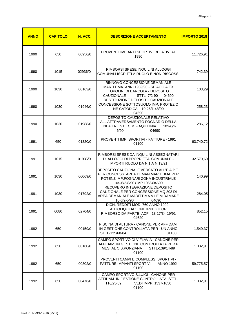| <b>ANNO</b> | <b>CAPITOLO</b> | N. ACC. | <b>DESCRIZIONE ACCERTAMENTO</b>                                                                                                                            | <b>IMPORTO 2018</b> |
|-------------|-----------------|---------|------------------------------------------------------------------------------------------------------------------------------------------------------------|---------------------|
| 1990        | 650             | 00956/0 | PROVENTI IMPIANTI SPORTIVI RELATIVI AL<br>1990                                                                                                             | 11.726,91           |
| 1990        | 1015            | 02936/0 | RIMBORSI SPESE INQUILINI ALLOGGI<br>COMUNALI ISCRITTI A RUOLO E NON RISCOSSI                                                                               | 742,39              |
| 1990        | 1030            | 00163/0 | RINNOVO CONCESSIONE DEMANIALE<br>MARITTIMA ANNI 1989/90 - SPIAGGIA EX<br>TOPOLINI DI BARCOLA - DEPOSITO<br><b>CAUZIONALE</b><br>STTL -7/2-90<br>04690      | 103,29              |
| 1990        | 1030            | 01946/0 | RESTITUZIONE DEPOSITO CAUZIONALE<br>CONCESSIONE SOTTOSUOLO IMP. PROTEZIO<br>NE CATODICA 10-26/1-48/90<br>04690                                             | 258,23              |
| 1990        | 1030            | 01988/0 | <b>DEPOSITO CAUZIONALE RELATIVO</b><br>ALL'ATTRAVERSAMENTO FOGNARIO DELLA<br>LINEA TRIESTE C.M. - AQUILINIA<br>$10$-6/1-$<br>6/90<br>04690                 | 286,12              |
| 1991        | 650             | 01320/0 | PROVENTI IMP. SPORTIVI - FATTURE - 1991<br>01100                                                                                                           | 63.740,72           |
| 1991        | 1015            | 01935/0 | RIMBORSI SPESE DA INQUILINI ASSEGNATARI<br>DI ALLOGGI DI PROPRIETA' COMUNALE -<br>IMPORTI RUOLO DA N.1 A N.13/91                                           | 32.570,60           |
| 1991        | 1030            | 00069/0 | DEPOSITO CAUZIONALE VERSATO ALL'E.A.P.T.<br>PER CONCESS, AREA DEMAN, MARITTIMA PER<br>POTENZ.IMP.FOGNARI ZONA INDUSTRIALE<br>10\$-6/2-8/90 (IMP.1066)04690 | 140,99              |
| 1991        | 1030            | 01792/0 | RECUPERO INTEGRAZIONE DEPOSITO<br>CAUZIONALE PER CONCESSIONE MQ 803 DI<br>AREA DEMANIALE MARITTIMA V.LE MIRAMARE<br>10-6/2-5/90<br>04690                   | 284,05              |
| 1991        | 6080            | 02704/0 | DICH. REDDITI MOD. 760 ANNO 1990 -<br>AUTOLIQUIDAZIONE IRPEG ILOR<br>RIMBORSO DA PARTE IACP 13-17/34-19/91<br>04620                                        | 852,15              |
| 1992        | 650             | 00159/0 | PISCINA DI ALTURA - CANONE PER AFFIDAM.<br>IN GESTIONE CONTROLLATA PER UN ANNO<br>STTL-135/68-84<br>01100                                                  | 1.549,37            |
| 1992        | 650             | 00160/0 | CAMPO SPORTIVO DI V.FLAVIA - CANONE PER<br>AFFIDAM. IN GESTIONE CONTROLLATA PER 6<br>MESI AL C.S. PONZIANA<br>STTL-139/14-89<br>01100                      | 1.032,91            |
| 1992        | 650             | 00302/0 | PROVENTI CAMPI E COMPLESSI SPORTIVI -<br>FATTURE IMPIANTI SPORTIVI<br><b>ANNO 1992</b><br>01100                                                            | 59.775,57           |
| 1992        | 650             | 00476/0 | CAMPO SPORTIVO S.LUIGI - CANONE PER<br>AFFIDAM. IN GESTIONE CONTROLLATA STTL-<br>116/25-89<br>VEDI IMPP. 1537-1650<br>01100                                | 1.032,91            |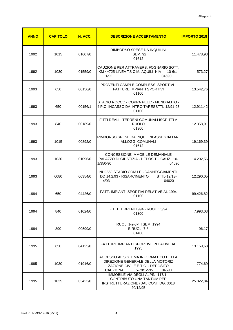| <b>ANNO</b> | <b>CAPITOLO</b> | N. ACC. | <b>DESCRIZIONE ACCERTAMENTO</b>                                                                                                                   | <b>IMPORTO 2018</b> |
|-------------|-----------------|---------|---------------------------------------------------------------------------------------------------------------------------------------------------|---------------------|
| 1992        | 1015            | 01007/0 | RIMBORSO SPESE DA INQUILINI<br>I SEM. 92<br>01612                                                                                                 | 11.478,93           |
| 1992        | 1030            | 01559/0 | CAUZIONE PER ATTRAVERS. FOGNARIO SOTT.<br>KM 4+725 LINEA TS C.M.-AQUILI NIA<br>$10 - 6/1 -$<br>04690<br>1/92                                      | 573,27              |
| 1993        | 650             | 00156/0 | PROVENTI CAMPI E COMPLESSI SPORTIVI -<br><b>FATTURE IMPIANTI SPORTIVI</b><br>01100                                                                | 13.542,76           |
| 1993        | 650             | 00156/1 | STADIO ROCCO - COPPA PELE' - MUNDIALITO -<br>4 P.C. INCASSO DA INTROITARESSTTL-12/91-93<br>01100                                                  | 12.911,42           |
| 1993        | 840             | 00189/0 | FITTI REALI - TERRENI COMUNALI ISCRITTI A<br><b>RUOLO</b><br>01300                                                                                | 12.358,91           |
| 1993        | 1015            | 00892/0 | RIMBORSO SPESE DA INQUILINI ASSEGNATARI<br><b>ALLOGGI COMUNALI</b><br>01612                                                                       | 19.169,39           |
| 1993        | 1030            | 01096/0 | <b>CONCESSIONE IMMOBILE DEMANIALE</b><br>PALAZZO DI GIUSTIZIA - DEPOSITO CAUZ. 10-<br>1/350-90<br>04690                                           | 14.202,56           |
| 1993        | 6080            | 00354/0 | NUOVO STADIO COM.LE - DANNEGGIAMENTI<br>DD 14.2.93 - RISARCIMENTO<br>STTL-12/13-<br>4/93<br>04620                                                 | 12.290,05           |
| 1994        | 650             | 04426/0 | FATT. IMPIANTI SPORTIVI RELATIVE AL 1994<br>01100                                                                                                 | 99.426,82           |
| 1994        | 840             | 01024/0 | FITTI TERRENI 1994 - RUOLO 5/94<br>01300                                                                                                          | 7.993,03            |
| 1994        | 890             | 00599/0 | RUOLI 1-2-3-4   SEM. 1994<br>E RUOLI 7-8<br>01400                                                                                                 | 96,17               |
| 1995        | 650             | 04125/0 | <b>FATTURE IMPIANTI SPORTIVII RELATIVE AL</b><br>1995                                                                                             | 13.159,68           |
| 1995        | 1030            | 01916/0 | ACCESSO AL SISTEMA INFORMATICO DELLA<br>DIREZIONE GENERALE DELLA MOTORIZ<br>ZAZIONE CIVILE E T.C. - DEPOSITO<br>CAUZIONALE<br>5-78/12-95<br>04690 | 774,69              |
| 1995        | 1035            | 03423/0 | IMMOBILE VIA DEGLI ALPINI 117/1 -<br>CONTRIBUTO UNA TANTUM PER<br>IRSTRUTTURAZIONE (DAL CONI) DG. 3018<br>20/12/95                                | 25.822,84           |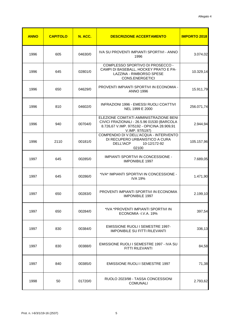| <b>ANNO</b> | <b>CAPITOLO</b> | N. ACC. | <b>DESCRIZIONE ACCERTAMENTO</b>                                                                                                                        | <b>IMPORTO 2018</b> |
|-------------|-----------------|---------|--------------------------------------------------------------------------------------------------------------------------------------------------------|---------------------|
| 1996        | 605             | 04630/0 | IVA SU PROVENTI IMPIANTI SPORTIVI - ANNO<br>1996                                                                                                       | 3.074,02            |
| 1996        | 645             | 02801/0 | COMPLESSO SPORTIVO DI PROSECCO -<br>CAMPI DI BASEBALL, HOCKEY PRATO E PA-<br>LAZZINA - RIMBORSO SPESE<br>CONS.ENERGETICI                               | 10.329,14           |
| 1996        | 650             | 04629/0 | PROVENTI IMPIANTI SPORTIVI IN ECONOMIA -<br><b>ANNO 1996</b>                                                                                           | 15.911,79           |
| 1996        | 810             | 04602/0 | INFRAZIONI 1996 - EMESSI RUOLI COATTIVI<br>NEL 1999 E 2000                                                                                             | 256.071,74          |
| 1996        | 940             | 00704/0 | ELEZIONE COMITATI AMMINISTRAZIONE BENI<br>CIVICI FRAZIONALI - 26.5.96 01530 (BARCOLA<br>8.726,67 V.IMP. 97/5192 - OPICINA 28.909,91<br>V.IMP. 97/5197) | 2.944,94            |
| 1996        | 2110            | 00181/0 | COMPENDIO DI V.DELL'ACQUA - INTERVENTO<br>DI RECUPERO URBANISTICO A CURA<br><b>DELL'IACP</b><br>10-12/172-92<br>02100                                  | 105.157,96          |
| 1997        | 645             | 00285/0 | IMPIANTI SPORTIVI IN CONCESSIONE -<br><b>IMPONIBILE 1997</b>                                                                                           | 7.689,05            |
| 1997        | 645             | 00286/0 | *IVA* IMPIANTI SPORTIVI IN CONCESSIONE -<br><b>IVA 19%</b>                                                                                             | 1.471,90            |
| 1997        | 650             | 00283/0 | PROVENTI IMPIANTI SPORTIVI IN ECONOMIA<br><b>IMPONIBILE 1997</b>                                                                                       | 2.199,10            |
| 1997        | 650             | 00284/0 | *IVA *PROVENTI IMPIANTI SPORTIVI IN<br>ECONOMIA - I.V.A. 19%                                                                                           | 397,54              |
| 1997        | 830             | 00384/0 | <b>EMISSIONE RUOLI I SEMESTRE 1997-</b><br><b>IMPONIBILE SU FITTI RILEVANTI</b>                                                                        | 336,13              |
| 1997        | 830             | 00388/0 | EMISSIONE RUOLI I SEMESTRE 1997 - IVA SU<br>FITTI RILEVANTI                                                                                            | 84,58               |
| 1997        | 840             | 00385/0 | <b>EMISSIONE RUOLI I SEMESTRE 1997</b>                                                                                                                 | 71,38               |
| 1998        | 50              | 01720/0 | RUOLO 2023/98 - TASSA CONCESSIONI<br><b>COMUNALI</b>                                                                                                   | 2.793,62            |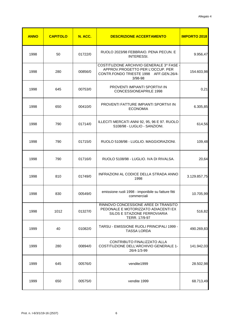| <b>ANNO</b> | <b>CAPITOLO</b> | N. ACC. | <b>DESCRIZIONE ACCERTAMENTO</b>                                                                                                 | <b>IMPORTO 2018</b> |
|-------------|-----------------|---------|---------------------------------------------------------------------------------------------------------------------------------|---------------------|
| 1998        | 50              | 01722/0 | RUOLO 2023/98 FEBBRAIO. PENA PECUN. E<br><b>INTERESSI.</b>                                                                      | 9.956,47            |
| 1998        | 280             | 00856/0 | COSTITUZIONE ARCHIVIO GENERALE 3^ FASE<br>APPROV.PROGETTO PER L'OCCUP. PER<br>CONTR.FONDO TRIESTE 1998 AFF.GEN.26/4-<br>3/98-98 | 154.603,98          |
| 1998        | 645             | 00753/0 | PROVENTI IMPIANTI SPORTIVI IN<br><b>CONCESSIONEAPRILE 1998</b>                                                                  | 0,21                |
| 1998        | 650             | 00410/0 | PROVENTI FATTURE IMPIANTI SPORTIVI IN<br><b>ECONOMIA</b>                                                                        | 6.305,85            |
| 1998        | 790             | 01714/0 | ILLECITI MERCATI ANNI 92, 95, 96 E 97. RUOLO<br>5108/98 - LUGLIO - SANZIONI.                                                    | 614,56              |
| 1998        | 790             | 01715/0 | RUOLO 5108/98 - LUGLIO. MAGGIORAZIONI.                                                                                          | 109,48              |
| 1998        | 790             | 01716/0 | RUOLO 5108/98 - LUGLIO. IVA DI RIVALSA.                                                                                         | 20,64               |
| 1998        | 810             | 01749/0 | INFRAZIONI AL CODICE DELLA STRADA ANNO<br>1998                                                                                  | 3.129.857,75        |
| 1998        | 830             | 00549/0 | emissione ruoli 1998 - imponibile su fatture fitti<br>commerciali                                                               | 10.705,99           |
| 1998        | 1012            | 01327/0 | RINNOVO CONCESSIONE AREE DI TRANSITO<br>PEDONALE E MOTORIZZATO ADIACENTI EX<br>SILOS E STAZIONE FERROVIARIA<br>TERR. 17/9-97    | 516,82              |
| 1999        | 40              | 01082/0 | TARSU - EMISSIONE RUOLI PRINCIPALI 1999 -<br><b>TASSA LORDA</b>                                                                 | 490.269,83          |
| 1999        | 280             | 00894/0 | CONTRIBUTO FINALIZZATO ALLA<br><b>COSTITUZIONE DELL'ARCHIVIO GENERALE 1-</b><br>26/4-1/3-99                                     | 141.942,03          |
| 1999        | 645             | 00576/0 | vendite1999                                                                                                                     | 28.502,98           |
| 1999        | 650             | 00575/0 | vendite 1999                                                                                                                    | 68.713,49           |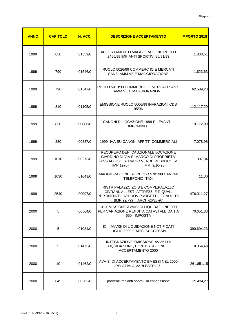| <b>ANNO</b> | <b>CAPITOLO</b> | N. ACC. | <b>DESCRIZIONE ACCERTAMENTO</b>                                                                                                                      | <b>IMPORTO 2018</b> |
|-------------|-----------------|---------|------------------------------------------------------------------------------------------------------------------------------------------------------|---------------------|
| 1999        | 650             | 01559/0 | ACCERTAMENTO MAGGIORAZIONE RUOLO<br>2455/99 IMPIANTI SPORTIVI 90/91/93                                                                               | 1.838,51            |
| 1999        | 790             | 01546/0 | RUOLO 5026/99 COMMERC IO E MERCATI<br>SANZ. AMM.VE E MAGGIORAZIONE                                                                                   | 1.623,63            |
| 1999        | 790             | 01547/0 | RUOLO 5010/99 COMMERCIO E MERCATI SANZ.<br>AMM.VE E MAGGIORAZIONE                                                                                    | 62.589,23           |
| 1999        | 810             | 01105/0 | EMISSIONE RUOLO 5006/99 INFRAZIONI CDS<br>95/96                                                                                                      | 112.117,29          |
| 1999        | 830             | 00886/0 | CANONI DI LOCAZIONE 1999 RILEVANTI -<br><b>IMPONIBILE</b>                                                                                            | 19.772,09           |
| 1999        | 830             | 00887/0 | 1999 - IVA SU CANONI AFFITTI COMMERCIALI                                                                                                             | 7.078,98            |
| 1999        | 1010            | 00273/0 | RECUPERO DEP. CAUZIONALE LOCAZIONE<br>GIARDINO DI VIA S. MARCO DI PROPRIETA'<br>FFSS AD USO SERVIZIO VERDE PUBBLICO (V.<br>IMP.1970)<br>IMM. 9/10-98 | 387,34              |
| 1999        | 1030            | 01641/0 | MAGGIORAZIONE SU RUOLO 5701/99 CANONI<br><b>TELEFONICI TAXI</b>                                                                                      | 11,30               |
| 1999        | 2540            | 00097/0 | RISTR.PALAZZO ZOIS E COMPL.PALAZZO<br>CIVRANI, ALLEST. ATTREZZ. E RIQUAL.<br>PERTINENZE - APPROV.PROGETTO-FONDO TS<br>(IMP.99/799) ARCH-26/23-97     | 476.011,27          |
| 2000        | 5               | 00564/0 | ICI - EMISSIONE AVVISI DI LIQUIDAZIONE 2000<br>PER VARIAZIONE RENDITA CATASTALE DA 1 A<br>650 - IMPOSTA                                              | 70.651,33           |
| 2000        | 5               | 01034/0 | ICI - AVVISI DI LIQUIDAZIONE NOTIFICATI<br>LUGLIO 2000 E MESI SUCCESSIVI                                                                             | 390.694,23          |
| 2000        | 5               | 01473/0 | INTEGRAZIONE EMISSIONE AVVISI DI<br>LIQUIDAZIONE, CONTESTAZIONE E<br>ACCERTAMENTO 2000                                                               | 8.864,49            |
| 2000        | 10              | 01462/0 | AVVISI DI ACCERTAMENTO EMESSI NEL 2000<br>RELATIVI A VARI ESERCIZI                                                                                   | 261.851,15          |
| 2000        | 645             | 00262/0 | proventi impianti sportivi in concessione                                                                                                            | 19.434,27           |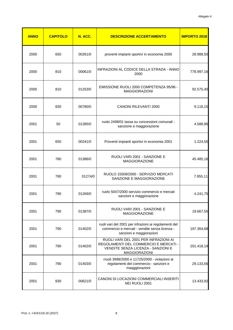| <b>ANNO</b> | <b>CAPITOLO</b> | N. ACC. | <b>DESCRIZIONE ACCERTAMENTO</b>                                                                                                       | <b>IMPORTO 2018</b> |
|-------------|-----------------|---------|---------------------------------------------------------------------------------------------------------------------------------------|---------------------|
| 2000        | 650             | 00261/0 | proventi impianti sportivi in economia 2000                                                                                           | 28.988,50           |
| 2000        | 810             | 00061/0 | INFRAZIONI AL CODICE DELLA STRADA - ANNO<br>2000                                                                                      | 778.997,16          |
| 2000        | 810             | 01253/0 | EMISSIONE RUOLI 2000 COMPETENZA 95/96 -<br><b>MAGGIORAZIONI</b>                                                                       | 92.575,40           |
| 2000        | 830             | 00780/0 | <b>CANONI RILEVANTI 2000</b>                                                                                                          | 9.118,15            |
| 2001        | 50              | 01395/0 | ruolo 2498/01 tassa su concessioni comunali -<br>sanzione e maggiorazione                                                             | 4.588,96            |
| 2001        | 650             | 00241/0 | Proventi impianti sportivi in economia 2001                                                                                           | 1.224,55            |
| 2001        | 780             | 01386/0 | RUOLI VARI 2001 - SANZIONE E<br><b>MAGGIORAZIONE</b>                                                                                  | 45.485,16           |
| 2001        | 790             | 01274/0 | RUOLO 15509/2000 - SERVIZIO MERCATI<br>SANZIONE E MAGGIORAZIONE                                                                       | 7.955,11            |
| 2001        | 790             | 01269/0 | ruolo 5047/2000 servizio commercio e mercati<br>sanzioni e maggiorazione                                                              | 4.241,75            |
| 2001        | 790             | 01387/0 | RUOLI VARI 2001 - SANZIONE E<br><b>MAGGIORAZIONE</b>                                                                                  | 19.667,55           |
| 2001        | 790             | 01402/0 | ruoli vari del 2001 per infrazioni ai regolamenti del<br>commercio e mercati - vendite senza licenza -<br>sanzioni e maggiorazioni    | 197.364,68          |
| 2001        | 790             | 01402/0 | RUOLI VARI DEL 2001 PER INFRAZIONI AI<br>REGOLAMENTI DEL COMMERCIO E MERCATI -<br>VENDITE SENZA LICENZA - SANZIONI E<br>MAGGIORAZIONI | 201.418,19          |
| 2001        | 790             | 01403/0 | rruoli 3998/2000 e 11725/2000 - violazioni ai<br>regolamenti del commercio - sanzioni e<br>maqggiorazioni                             | 29.133,56           |
| 2001        | 830             | 00621/0 | CANONI DI LOCAZIONI COMMERCIALI INSERITI<br>NEI RUOLI 2001                                                                            | 13.433,92           |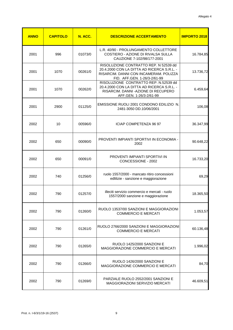| <b>ANNO</b> | <b>CAPITOLO</b> | N. ACC. | <b>DESCRIZIONE ACCERTAMENTO</b>                                                                                                                               | <b>IMPORTO 2018</b> |
|-------------|-----------------|---------|---------------------------------------------------------------------------------------------------------------------------------------------------------------|---------------------|
| 2001        | 996             | 01073/0 | L.R. 40/90 - PROLUNGAMENTO COLLETTORE<br>COSTIERO - AZIONE DI RIVALSA SULLA<br>CAUZIONE 7-102/98/177-2001                                                     | 16.784,85           |
| 2001        | 1070            | 00261/0 | RISOLUZIONE CONTRATTO REP. N 52539 dd<br>20.4.2000 CON LA DITTA AD RICERCA S.R.L. -<br>RISARCIM. DANNI CON INCAMERAM. POLIZZA<br>FID. AFF.GEN. 1-26/3-2/61-99 | 13.736,72           |
| 2001        | 1070            | 00262/0 | RISOLUZIONE CONTRATTO REP. N.52539 dd<br>20.4.2000 CON LA DITTA AD RICERCA S.R.L. -<br>RISARCIM. DANNI - AZIONE DI RECUPERO<br>AFF.GEN. 1-26/3-2/61-99        | 6.459,64            |
| 2001        | 2900            | 01125/0 | EMISSIONE RUOLI 2001 CONDONO EDILIZIO N.<br>2481-3050 DD.10/06/2001                                                                                           | 106,08              |
| 2002        | 10              | 00596/0 | <b>ICIAP COMPETENZA 96 97</b>                                                                                                                                 | 36.347,99           |
| 2002        | 650             | 00090/0 | PROVENTI IMPIANTI SPORTIVI IN ECONOMIA -<br>2002                                                                                                              | 90.648,22           |
| 2002        | 650             | 00091/0 | PROVENTI IMPIANTI SPORTIVI IN<br>CONCESSIONE - 2002                                                                                                           | 16.733,20           |
| 2002        | 740             | 01256/0 | ruolo 1557/2000 - mancato ritiro concessioni<br>edlilizie - sanzione e maggiorazione                                                                          | 69,29               |
| 2002        | 790             | 01257/0 | illeciti servizio commercio e mercati - ruolo<br>1557/2000 sanzione e maggiorazione                                                                           | 18.365,50           |
| 2002        | 790             | 01260/0 | RUOLO 13537/00 SANZIONI E MAGGIORAZIONI<br><b>COMMERCIO E MERCATI</b>                                                                                         | 1.053,57            |
| 2002        | 790             | 01261/0 | RUOLO 2766/2000 SANZIONI E MAGGIORAZIONI<br>COMMERCIO E MERCATI                                                                                               | 60.136,48           |
| 2002        | 790             | 01265/0 | RUOLO 1425/2000 SANZIONI E<br>MAGGIORAZIONE COMMERCIO E MERCATI                                                                                               | 1.996,02            |
| 2002        | 790             | 01266/0 | RUOLO 1426/2000 SANZIONI E<br>MAGGIORAZIONE COMMERCIO E MERCATI                                                                                               | 84,70               |
| 2002        | 790             | 01269/0 | PARZIALE RUOLO 2552/2001 SANZIONI E<br>MAGGIORAZIONI SERVIZIO MERCATI                                                                                         | 46.609,51           |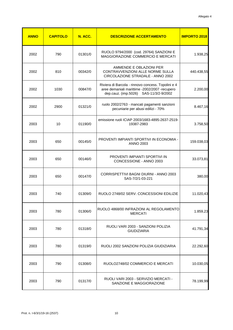| <b>ANNO</b> | <b>CAPITOLO</b> | N. ACC. | <b>DESCRIZIONE ACCERTAMENTO</b>                                                                                                               | <b>IMPORTO 2018</b> |
|-------------|-----------------|---------|-----------------------------------------------------------------------------------------------------------------------------------------------|---------------------|
| 2002        | 790             | 01301/0 | RUOLO 9794/2000 (cod. 29764) SANZIONI E<br>MAGGIORAZIONE COMMERCIO E MERCATI                                                                  | 1.938,25            |
| 2002        | 810             | 00342/0 | AMMENDE E OBLAZIONI PER<br>CONTRAVVENZIONI ALLE NORME SULLA<br>CIRCOLAZIONE STRADALE - ANNO 2002                                              | 440.438,55          |
| 2002        | 1030            | 00847/0 | Riviera di Barcola - rinnovo concess. Topolini e 4<br>aree demaniali marittime -2002/2007 -recupero<br>dep.cauz. (imp.5026) SAS-11/3/2-9/2002 | 2.200,00            |
| 2002        | 2900            | 01321/0 | ruolo 2002/2763 - mancati pagamenti sanzioni<br>pecuniarie per abusi edilizi - 70%                                                            | 8.467,16            |
| 2003        | 10              | 01190/0 | emissione ruoli ICIAP 2003/1683-4895-2637-2519-<br>19387-2983                                                                                 | 3.758,50            |
| 2003        | 650             | 00145/0 | PROVENTI IMPIANTI SPORTIVI IN ECONOMIA -<br><b>ANNO 2003</b>                                                                                  | 159.038,03          |
| 2003        | 650             | 00146/0 | PROVENTI IMPIANTI SPORTIVI IN<br>CONCESSIONE - ANNO 2003                                                                                      | 33.073,81           |
| 2003        | 650             | 00147/0 | CORRISPETTIVI BAGNI DIURNI - ANNO 2003<br>SAS-7/2/1-03-221                                                                                    | 380,00              |
| 2003        | 740             | 01309/0 | RUOLO 2748/02 SERV. CONCESSIONI EDILIZIE                                                                                                      | 11.020,43           |
| 2003        | 780             | 01306/0 | RUOLO 4868/00 INFRAZIONI AL REGOLAMENTO<br><b>MERCATI</b>                                                                                     | 1.859,23            |
| 2003        | 780             | 01318/0 | RUOLI VARI 2003 - SANZIONI POLIZIA<br><b>GIUDIZIARIA</b>                                                                                      | 41.791,34           |
| 2003        | 780             | 01319/0 | RUOLI 2002 SANZIONI POLIZIA GIUDIZIARIA                                                                                                       | 22.292,60           |
| 2003        | 790             | 01308/0 | RUOLO2748/02 COMMERCIO E MERCATI                                                                                                              | 10.030,05           |
| 2003        | 790             | 01317/0 | RUOLI VARI 2003 - SERVIZIO MERCATI -<br>SANZIONE E MAGGIORAZIONE                                                                              | 78.199,99           |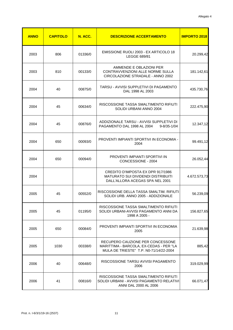| <b>ANNO</b> | <b>CAPITOLO</b> | N. ACC. | <b>DESCRIZIONE ACCERTAMENTO</b>                                                                                       | <b>IMPORTO 2018</b> |
|-------------|-----------------|---------|-----------------------------------------------------------------------------------------------------------------------|---------------------|
| 2003        | 806             | 01336/0 | EMISSIONE RUOLI 2003 - EX ARTICOLO 18<br>LEGGE 689/81                                                                 | 20.299,42           |
| 2003        | 810             | 00133/0 | AMMENDE E OBLAZIONI PER<br>CONTRAVVENZIONI ALLE NORME SULLA<br>CIRCOLAZIONE STRADALE - ANNO 2002                      | 181.142,61          |
| 2004        | 40              | 00875/0 | TARSU - AVVISI SUPPLETIVI DI PAGAMENTO<br>DAL 1998 AL 2003                                                            | 435.730,76          |
| 2004        | 45              | 00634/0 | RISCOSSIONE TASSA SMALTIMENTO RIFIUTI<br>SOLIDI URBANI ANNO 2004                                                      | 222.475,90          |
| 2004        | 45              | 00876/0 | ADDIZIONALE TARSU - AVVISI SUPPLETIVI DI<br>PAGAMENTO DAL 1998 AL 2004<br>$9 - 8/35 - 1/04$                           | 12.347,12           |
| 2004        | 650             | 00093/0 | PROVENTI IMPIANTI SPORTIVI IN ECONOMIA -<br>2004                                                                      | 99.491,12           |
| 2004        | 650             | 00094/0 | PROVENTI IMPIANTI SPORTIVI IN<br>CONCESSIONE - 2004                                                                   | 26.052,44           |
| 2004        |                 |         | CREDITO D'IMPOSTA EX DPR 917/1986<br><b>MATURATO SUI DIVIDENDI DISTRIBUITI</b><br>DALL'ALLORA ACEGAS SPA NEL 2001     | 4.672.573,73        |
| 2005        | 45              | 00552/0 | RISCOSSIONE DELLA TASSA SMALTIM. RIFIUTI<br>SOLIDI URB. ANNO 2005 - ADDIZIONALE                                       | 56.239,09           |
| 2005        | 45              | 01195/0 | RISCOSSIONE TASSA SMALTIMENTO RIFIUTI<br>SOLIDI URBANI-AVVISI PAGAMENTO ANNI DA<br>1998 A 2005 -                      | 156.827,65          |
| 2005        | 650             | 00084/0 | PROVENTI IMPIANTI SPORTIVI IN ECONOMIA<br>2005                                                                        | 21.639,98           |
| 2005        | 1030            | 00338/0 | RECUPERO CAUZIONE PER CONCESSONE<br>MARITTIMA - BARCOLA, EX-CEDAS - PER "LA<br>MULA DE TRIESTE" T.P. N0-71/14/22-2004 | 885,42              |
| 2006        | 40              | 00648/0 | RISCOSSIONE TARSU AVVISI PAGAMENTO<br>2006                                                                            | 319.029,99          |
| 2006        | 41              | 00816/0 | RISCOSSIONE TASSA SMALTIMENTO RIFIUTI<br>SOLIDI URBANI - AVVISI PAGAMENTO RELATIVI<br>ANNI DAL 2000 AL 2006           | 66.071,47           |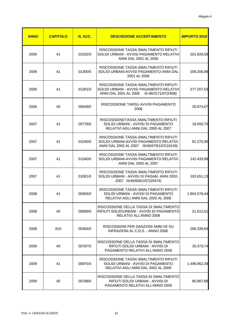| <b>ANNO</b> | <b>CAPITOLO</b> | N. ACC. | <b>DESCRIZIONE ACCERTAMENTO</b>                                                                                                  | <b>IMPORTO 2018</b> |
|-------------|-----------------|---------|----------------------------------------------------------------------------------------------------------------------------------|---------------------|
| 2006        | 41              | 01032/0 | RISCOSSIONE TASSA SMALTIMENTO RIFIUTI<br>SOLIDI URBANI - AVVISI PAGAMENTO RELATIVI<br>ANNI DAL 2001 AL 2006                      | 201.828,59          |
| 2006        | 41              | 01300/0 | RISCOSSIONE TASSA SMALTIMENTO RIFIUTI<br>SOLIDI URBANI-AVVISI PAGAMENTO ANNI DAL<br>2001 AL 2006                                 | 256.206,98          |
| 2006        | 41              | 01301/0 | RISCOSSIONE TASSA SMALTIMENTO RIFIUTI<br>SOLIDI URBANI - AVVISI PAGAMENTO RELATIVI<br>ANNI DAL 2001 AL 2006  15-46/3171/07(2468) | 277.207,53          |
| 2006        | 45              | 00649/0 | RISCOSSIONE TARSU AVVISI PAGAMENTO<br>2006                                                                                       | 35.874,67           |
| 2007        | 41              | 00778/0 | RISCOSSIONETASSA SMALTIMENTO RIFIUTI<br>SOLIDI URBANI - AVVISI DI PAGAMENTO<br>RELATIVI AGLI ANNI DAL 2000 AL 2007               | 16.650,70           |
| 2007        | 41              | 01040/0 | RISCOSSIONE TASSA SMALTIMENTO RIFIUTI<br>SOLIDI URBANI-AVVISI PAGAMENTO RELATIVI<br>ANNI DAL 2002 AL 2007  15/46/579/1/07(19159) | 81.275,90           |
| 2007        | 41              | 01040/0 | RISCOSSIONE TASSA SMALTIMENTO RIFIUTI<br>SOLIDI URBANI-AVVISI PAGAMENTO RELATIVI<br>ANNI DAL 2002 AL 2007                        | 142.433,99          |
| 2007        | 41              | 01081/0 | RISCOSSIONE TASSA SMALTIMENTO RIFIUTI<br>SOLIDI URBANI - AVVISI DI PAGAM. ANNI 2002-<br>2007 15/46/608/1/07(20474)               | 193.651,13          |
| 2008        | 41              | 00905/0 | RISCOSSIONE TASSA SMALTIMENTO RIFIUTI<br>SOLIDI URBANI - AVVISI DI PAGAMENTO<br>RELATIVI AGLI ANNI DAL 2002 AL 2008              | 1.854.576,44        |
| 2008        | 45              | 00690/0 | RISCOSSIONE DELLA TASSA DI SMALTIMENTO<br>RIFIUTI SOLIDIURBANI - AVVISI DI PAGAMENTO<br>RELATIVI ALL'ANNO 2008                   | 21.612,01           |
| 2008        | 810             | 00394/0 | RISCOSSIONI PER SANZIONI AMM.VE SU<br>INFRAZIONI AL C.D.S. - ANNO 2008.                                                          | 286.339,84          |
| 2009        | 40              | 00787/0 | RISCOSSIONE DELLA TASSA DI SMALTIMENTO<br>RIFIUTI SOLIDI URBANI - AVVISI DI<br>PAGAMENTO RELATIVI ALL'ANNO 2009                  | 30.373,74           |
| 2009        | 41              | 00975/0 | RISCOSSIONE TASSA SMALTIMENTO RIFIUTI<br>SOLIDI URBANI - AVVISI DI PAGAMENTO<br>RELATIVI AGLI ANNI DAL 2002 AL 2009              | 1.496.952,39        |
| 2009        | 45              | 00788/0 | RISCOSSIONE DELLA TASSA DI SMALTIMENTO<br>RIFIUTI SOLIDI URBANI - AVVISI DI<br>PAGAMENTO RELATIVI ALL'ANNO 2009                  | 80.907,88           |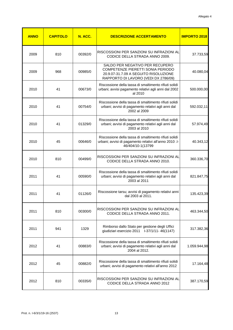| <b>ANNO</b> | <b>CAPITOLO</b> | N. ACC. | <b>DESCRIZIONE ACCERTAMENTO</b>                                                                                                                       | <b>IMPORTO 2018</b> |
|-------------|-----------------|---------|-------------------------------------------------------------------------------------------------------------------------------------------------------|---------------------|
| 2009        | 810             | 00392/0 | RISCOSSIONI PER SANZIONI SU INFRAZIONI AL<br>CODICE DELLA STRADA ANNO 2009.                                                                           | 37.733,59           |
| 2009        | 968             | 00985/0 | SALDO PER NEGATIVO PER RECUPERO<br>COMPETENZE PIERETTI SONIA PERIODO<br>20.9.07-31.7.09 A SEGUITO RISOLUZIONE<br>RAPPORTO DI LAVORO (VEDI DX 2786/09) | 40.080,04           |
| 2010        | 41              | 00673/0 | Riscossione della tassa di smaltimento rifiuti solidi<br>urbani; avvisi pagamento relativi agli anni dal 2002<br>al 2010                              | 500.000,00          |
| 2010        | 41              | 00754/0 | Riscossione della tassa di smaltimento rifiuti solidi<br>urbani; avvisi di pagamento relativi agli anni dal<br>2002 al 2009                           | 592.032,11          |
| 2010        | 41              | 01329/0 | Riscossione della tassa di smaltimento rifiuti solidi<br>urbani; avvisi di pagamento relativi agli anni dal<br>2003 al 2010                           | 57.974,49           |
| 2010        | 45              | 00646/0 | Riscossione della tassa di smaltimento rifiuti solidi<br>urbani; avvisi di pagamento relativi all'anno 2010 .l-<br>46/404/10-1(13799                  | 40.343,12           |
| 2010        | 810             | 00499/0 | RISCOSSIONI PER SANZIONI SU INFRAZIONI AL<br>CODICE DELLA STRADA ANNO 2010.                                                                           | 360.336,70          |
| 2011        | 41              | 00590/0 | Riscossione della tassa di smaltimento rifiuti solidi<br>urbani; avvisi di pagamento relativi agli anni dal<br>2003 al 2011                           | 821.847,75          |
| 2011        | 41              | 01126/0 | Riscossione tarsu; avvisi di pagamento relativi anni<br>dal 2003 al 2011.                                                                             | 135.423,39          |
| 2011        | 810             | 00300/0 | RISCOSSIONI PER SANZIONI SU INFRAZIONI AL<br>CODICE DELLA STRADA ANNO 2011.                                                                           | 463.344,50          |
| 2011        | 941             | 1329    | Rimborso dallo Stato per gestione degli Uffici                                                                                                        | 317.382,36          |
| 2012        | 41              | 00883/0 | Riscossione della tassa di smaltimento rifiuti solidi<br>urbani; avvisi di pagamento relativi agli anni dal<br>2004 al 2012.                          | 1.059.944,98        |
| 2012        | 45              | 00882/0 | Riscossione della tassa di smaltimento rifiuti solidi<br>urbani; avvisi di pagamento relativi all'anno 2012                                           | 17.164,48           |
| 2012        | 810             | 00335/0 | RISCOSSIONI PER SANZIONI SU INFRAZIONI AL<br>CODICE DELLA STRADA ANNO 2012                                                                            | 387.170,59          |